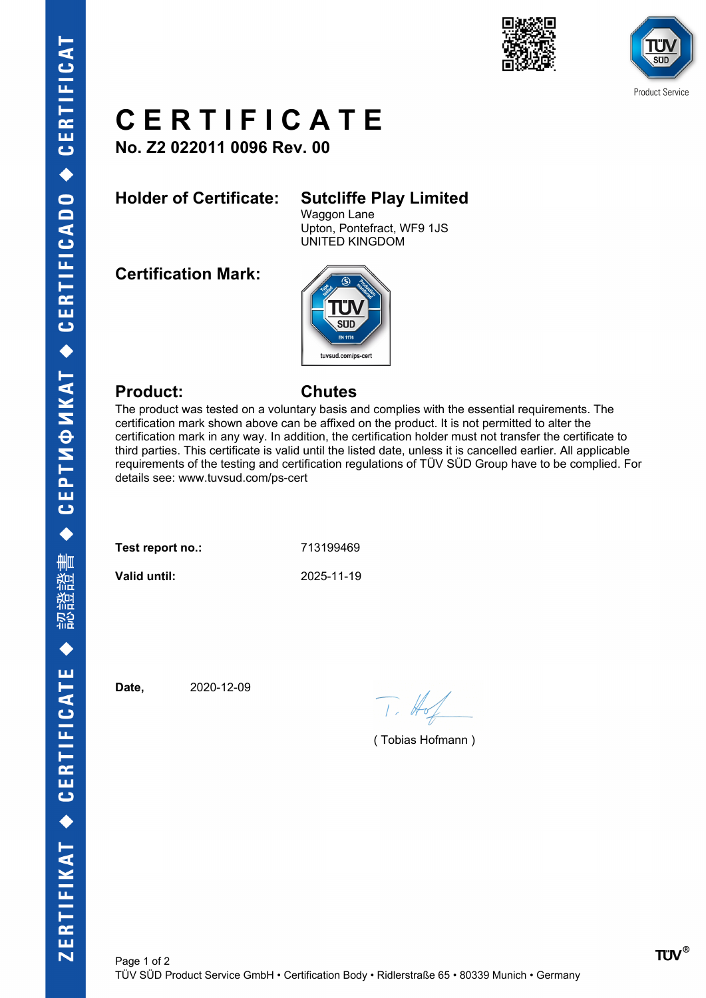





## **C E R T I F I C A T E**

**No. Z2 022011 0096 Rev. 00**

## **Holder of Certificate: Sutcliffe Play Limited**

Waggon Lane Upton, Pontefract, WF9 1JS UNITED KINGDOM

**Certification Mark:**



### **Product: Chutes**

The product was tested on a voluntary basis and complies with the essential requirements. The certification mark shown above can be affixed on the product. It is not permitted to alter the certification mark in any way. In addition, the certification holder must not transfer the certificate to third parties. This certificate is valid until the listed date, unless it is cancelled earlier. All applicable requirements of the testing and certification regulations of TÜV SÜD Group have to be complied. For details see: www.tuvsud.com/ps-cert

| Test report no.: | 713199469  |
|------------------|------------|
| Valid until:     | 2025-11-19 |

**Date,** 2020-12-09

 $T. #$ 

( Tobias Hofmann )